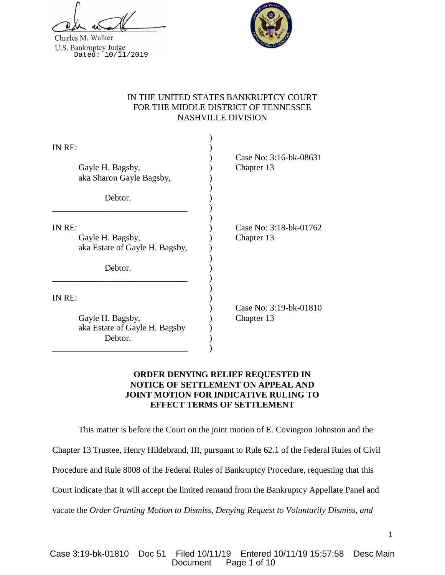Charles M. Walker U.S. Bankruptcy Judge<br>Dated: 10/11/2019



# IN THE UNITED STATES BANKRUPTCY COURT FOR THE MIDDLE DISTRICT OF TENNESSEE NASHVILLE DIVISION

| IN RE:<br>Gayle H. Bagsby,<br>aka Sharon Gayle Bagsby,                  | Case No: 3:16-bk-08631<br>Chapter 13 |
|-------------------------------------------------------------------------|--------------------------------------|
| Debtor.                                                                 |                                      |
| IN RE:<br>Gayle H. Bagsby,<br>aka Estate of Gayle H. Bagsby,<br>Debtor. | Case No: 3:18-bk-01762<br>Chapter 13 |
| IN RE:<br>Gayle H. Bagsby,<br>aka Estate of Gayle H. Bagsby<br>Debtor.  | Case No: 3:19-bk-01810<br>Chapter 13 |

## **ORDER DENYING RELIEF REQUESTED IN NOTICE OF SETTLEMENT ON APPEAL AND JOINT MOTION FOR INDICATIVE RULING TO EFFECT TERMS OF SETTLEMENT**

This matter is before the Court on the joint motion of E. Covington Johnston and the

Chapter 13 Trustee, Henry Hildebrand, III, pursuant to Rule 62.1 of the Federal Rules of Civil

Procedure and Rule 8008 of the Federal Rules of Bankruptcy Procedure, requesting that this

Court indicate that it will accept the limited remand from the Bankruptcy Appellate Panel and

vacate the *Order Granting Motion to Dismiss, Denying Request to Voluntarily Dismiss, and*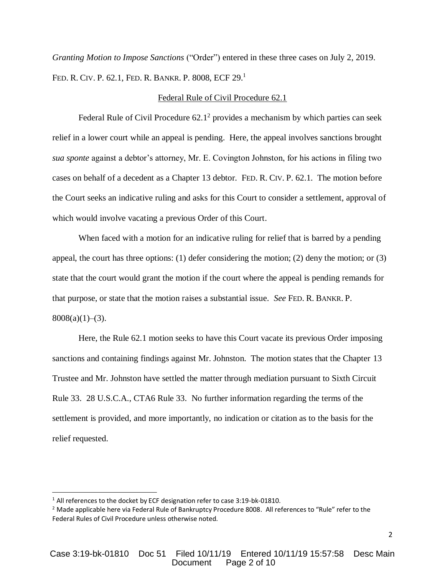*Granting Motion to Impose Sanctions* ("Order") entered in these three cases on July 2, 2019. FED. R. CIV. P. 62.1, FED. R. BANKR. P. 8008, ECF 29.<sup>1</sup>

#### Federal Rule of Civil Procedure 62.1

Federal Rule of Civil Procedure  $62.1<sup>2</sup>$  provides a mechanism by which parties can seek relief in a lower court while an appeal is pending. Here, the appeal involves sanctions brought *sua sponte* against a debtor's attorney, Mr. E. Covington Johnston, for his actions in filing two cases on behalf of a decedent as a Chapter 13 debtor. FED. R. CIV. P. 62.1. The motion before the Court seeks an indicative ruling and asks for this Court to consider a settlement, approval of which would involve vacating a previous Order of this Court.

When faced with a motion for an indicative ruling for relief that is barred by a pending appeal, the court has three options: (1) defer considering the motion; (2) deny the motion; or (3) state that the court would grant the motion if the court where the appeal is pending remands for that purpose, or state that the motion raises a substantial issue. *See* FED. R. BANKR. P.  $8008(a)(1)–(3)$ .

Here, the Rule 62.1 motion seeks to have this Court vacate its previous Order imposing sanctions and containing findings against Mr. Johnston. The motion states that the Chapter 13 Trustee and Mr. Johnston have settled the matter through mediation pursuant to Sixth Circuit Rule 33. 28 U.S.C.A., CTA6 Rule 33. No further information regarding the terms of the settlement is provided, and more importantly, no indication or citation as to the basis for the relief requested.

 $\overline{a}$ 

<sup>&</sup>lt;sup>1</sup> All references to the docket by ECF designation refer to case 3:19-bk-01810.

<sup>&</sup>lt;sup>2</sup> Made applicable here via Federal Rule of Bankruptcy Procedure 8008. All references to "Rule" refer to the Federal Rules of Civil Procedure unless otherwise noted.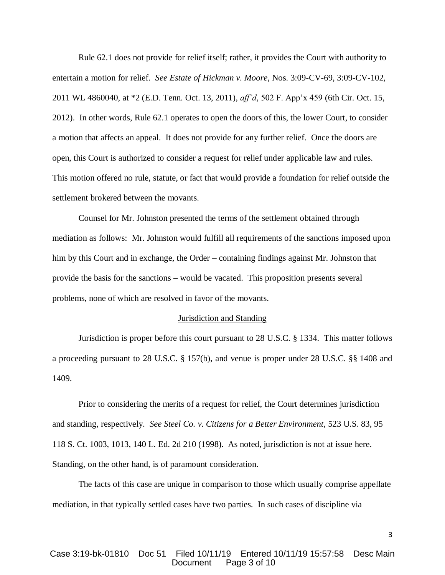Rule 62.1 does not provide for relief itself; rather, it provides the Court with authority to entertain a motion for relief. *See Estate of Hickman v. Moore*, Nos. 3:09-CV-69, 3:09-CV-102, 2011 WL 4860040, at \*2 (E.D. Tenn. Oct. 13, 2011), *aff'd,* 502 F. App'x 459 (6th Cir. Oct. 15, 2012). In other words, Rule 62.1 operates to open the doors of this, the lower Court, to consider a motion that affects an appeal. It does not provide for any further relief. Once the doors are open, this Court is authorized to consider a request for relief under applicable law and rules. This motion offered no rule, statute, or fact that would provide a foundation for relief outside the settlement brokered between the movants.

Counsel for Mr. Johnston presented the terms of the settlement obtained through mediation as follows: Mr. Johnston would fulfill all requirements of the sanctions imposed upon him by this Court and in exchange, the Order – containing findings against Mr. Johnston that provide the basis for the sanctions – would be vacated. This proposition presents several problems, none of which are resolved in favor of the movants.

#### Jurisdiction and Standing

Jurisdiction is proper before this court pursuant to 28 U.S.C. § 1334. This matter follows a proceeding pursuant to 28 U.S.C. § 157(b), and venue is proper under 28 U.S.C. §§ 1408 and 1409.

Prior to considering the merits of a request for relief, the Court determines jurisdiction and standing, respectively. *See Steel Co. v. Citizens for a Better Environment*, 523 U.S. 83, 95 118 S. Ct. 1003, 1013, 140 L. Ed. 2d 210 (1998). As noted, jurisdiction is not at issue here. Standing, on the other hand, is of paramount consideration.

The facts of this case are unique in comparison to those which usually comprise appellate mediation, in that typically settled cases have two parties. In such cases of discipline via

3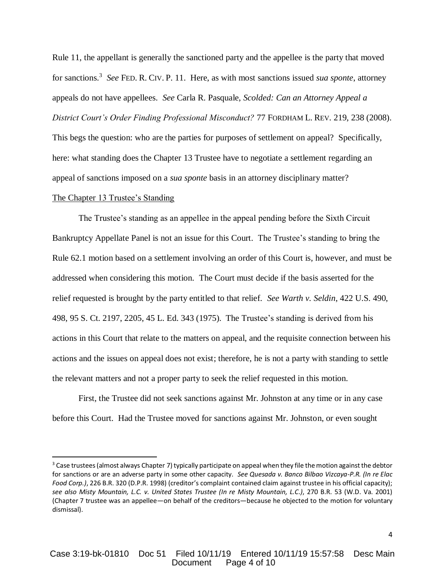Rule 11, the appellant is generally the sanctioned party and the appellee is the party that moved for sanctions.<sup>3</sup> *See* FED. R. CIV. P. 11. Here, as with most sanctions issued *sua sponte*, attorney appeals do not have appellees. *See* Carla R. Pasquale, *Scolded: Can an Attorney Appeal a District Court's Order Finding Professional Misconduct?* 77 FORDHAM L. REV. 219, 238 (2008). This begs the question: who are the parties for purposes of settlement on appeal? Specifically, here: what standing does the Chapter 13 Trustee have to negotiate a settlement regarding an appeal of sanctions imposed on a *sua sponte* basis in an attorney disciplinary matter?

### The Chapter 13 Trustee's Standing

 $\overline{a}$ 

The Trustee's standing as an appellee in the appeal pending before the Sixth Circuit Bankruptcy Appellate Panel is not an issue for this Court. The Trustee's standing to bring the Rule 62.1 motion based on a settlement involving an order of this Court is, however, and must be addressed when considering this motion. The Court must decide if the basis asserted for the relief requested is brought by the party entitled to that relief. *See Warth v. Seldin*, 422 U.S. 490, 498, 95 S. Ct. 2197, 2205, 45 L. Ed. 343 (1975). The Trustee's standing is derived from his actions in this Court that relate to the matters on appeal, and the requisite connection between his actions and the issues on appeal does not exist; therefore, he is not a party with standing to settle the relevant matters and not a proper party to seek the relief requested in this motion.

First, the Trustee did not seek sanctions against Mr. Johnston at any time or in any case before this Court. Had the Trustee moved for sanctions against Mr. Johnston, or even sought

 $3$  Case trustees (almost always Chapter 7) typically participate on appeal when they file the motion against the debtor for sanctions or are an adverse party in some other capacity. *See Quesada v. Banco Bilbao Vizcaya-P.R. (In re Elac Food Corp.)*, 226 B.R. 320 (D.P.R. 1998) (creditor's complaint contained claim against trustee in his official capacity); *see also Misty Mountain, L.C. v. United States Trustee (In re Misty Mountain, L.C.)*, 270 B.R. 53 (W.D. Va. 2001) (Chapter 7 trustee was an appellee—on behalf of the creditors—because he objected to the motion for voluntary dismissal).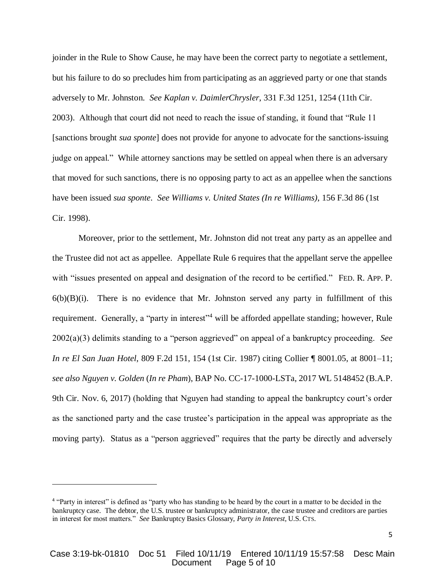joinder in the Rule to Show Cause, he may have been the correct party to negotiate a settlement, but his failure to do so precludes him from participating as an aggrieved party or one that stands adversely to Mr. Johnston. *See Kaplan v. DaimlerChrysler*, 331 F.3d 1251, 1254 (11th Cir. 2003). Although that court did not need to reach the issue of standing, it found that "Rule 11 [sanctions brought *sua sponte*] does not provide for anyone to advocate for the sanctions-issuing judge on appeal." While attorney sanctions may be settled on appeal when there is an adversary that moved for such sanctions, there is no opposing party to act as an appellee when the sanctions have been issued *sua sponte*. *See Williams v. United States (In re Williams)*, 156 F.3d 86 (1st Cir. 1998).

Moreover, prior to the settlement, Mr. Johnston did not treat any party as an appellee and the Trustee did not act as appellee. Appellate Rule 6 requires that the appellant serve the appellee with "issues presented on appeal and designation of the record to be certified." FED. R. APP. P.  $6(b)(B)(i)$ . There is no evidence that Mr. Johnston served any party in fulfillment of this requirement. Generally, a "party in interest"<sup>4</sup> will be afforded appellate standing; however, Rule 2002(a)(3) delimits standing to a "person aggrieved" on appeal of a bankruptcy proceeding. *See In re El San Juan Hotel*, 809 F.2d 151, 154 (1st Cir. 1987) citing Collier ¶ 8001.05, at 8001–11; *see also Nguyen v. Golden* (*In re Pham*), BAP No. CC-17-1000-LSTa, 2017 WL 5148452 (B.A.P. 9th Cir. Nov. 6, 2017) (holding that Nguyen had standing to appeal the bankruptcy court's order as the sanctioned party and the case trustee's participation in the appeal was appropriate as the moving party). Status as a "person aggrieved" requires that the party be directly and adversely

 $\overline{a}$ 

<sup>&</sup>lt;sup>4</sup> "Party in interest" is defined as "party who has standing to be heard by the court in a matter to be decided in the bankruptcy case. The debtor, the U.S. trustee or bankruptcy administrator, the case trustee and creditors are parties in interest for most matters." *See* Bankruptcy Basics Glossary, *Party in Interest*, U.S. CTS.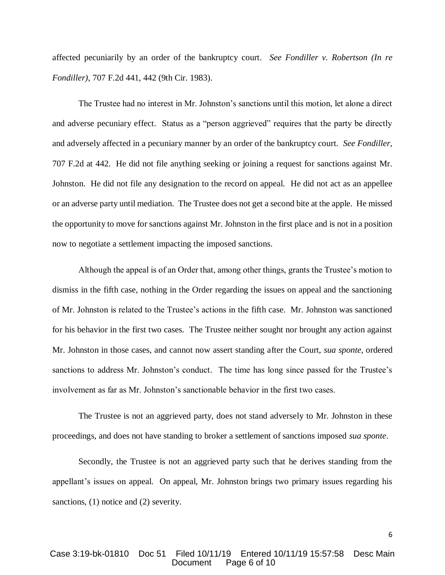affected pecuniarily by an order of the bankruptcy court. *See Fondiller v. Robertson (In re Fondiller)*, 707 F.2d 441, 442 (9th Cir. 1983).

The Trustee had no interest in Mr. Johnston's sanctions until this motion, let alone a direct and adverse pecuniary effect. Status as a "person aggrieved" requires that the party be directly and adversely affected in a pecuniary manner by an order of the bankruptcy court. *See Fondiller,* 707 F.2d at 442. He did not file anything seeking or joining a request for sanctions against Mr. Johnston. He did not file any designation to the record on appeal. He did not act as an appellee or an adverse party until mediation. The Trustee does not get a second bite at the apple. He missed the opportunity to move for sanctions against Mr. Johnston in the first place and is not in a position now to negotiate a settlement impacting the imposed sanctions.

Although the appeal is of an Order that, among other things, grants the Trustee's motion to dismiss in the fifth case, nothing in the Order regarding the issues on appeal and the sanctioning of Mr. Johnston is related to the Trustee's actions in the fifth case. Mr. Johnston was sanctioned for his behavior in the first two cases. The Trustee neither sought nor brought any action against Mr. Johnston in those cases, and cannot now assert standing after the Court, *sua sponte*, ordered sanctions to address Mr. Johnston's conduct. The time has long since passed for the Trustee's involvement as far as Mr. Johnston's sanctionable behavior in the first two cases.

The Trustee is not an aggrieved party, does not stand adversely to Mr. Johnston in these proceedings, and does not have standing to broker a settlement of sanctions imposed *sua sponte*.

Secondly, the Trustee is not an aggrieved party such that he derives standing from the appellant's issues on appeal. On appeal, Mr. Johnston brings two primary issues regarding his sanctions, (1) notice and (2) severity.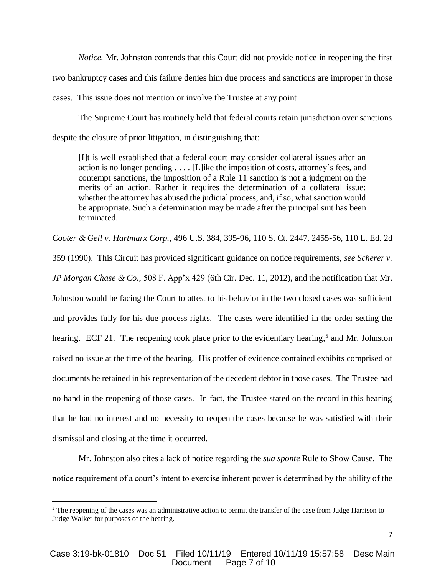*Notice.* Mr. Johnston contends that this Court did not provide notice in reopening the first two bankruptcy cases and this failure denies him due process and sanctions are improper in those cases. This issue does not mention or involve the Trustee at any point.

The Supreme Court has routinely held that federal courts retain jurisdiction over sanctions despite the closure of prior litigation, in distinguishing that:

[I]t is well established that a federal court may consider collateral issues after an action is no longer pending . . . . [L]ike the imposition of costs, attorney's fees, and contempt sanctions, the imposition of a Rule 11 sanction is not a judgment on the merits of an action. Rather it requires the determination of a collateral issue: whether the attorney has abused the judicial process, and, if so, what sanction would be appropriate. Such a determination may be made after the principal suit has been terminated.

*Cooter & Gell v. Hartmarx Corp.*, 496 U.S. 384, 395-96, 110 S. Ct. 2447, 2455-56, 110 L. Ed. 2d

359 (1990). This Circuit has provided significant guidance on notice requirements, *see Scherer v.* 

*JP Morgan Chase & Co.*, 508 F. App'x 429 (6th Cir. Dec. 11, 2012), and the notification that Mr.

Johnston would be facing the Court to attest to his behavior in the two closed cases was sufficient and provides fully for his due process rights. The cases were identified in the order setting the hearing. ECF 21. The reopening took place prior to the evidentiary hearing,<sup>5</sup> and Mr. Johnston raised no issue at the time of the hearing. His proffer of evidence contained exhibits comprised of documents he retained in his representation of the decedent debtor in those cases. The Trustee had no hand in the reopening of those cases. In fact, the Trustee stated on the record in this hearing that he had no interest and no necessity to reopen the cases because he was satisfied with their dismissal and closing at the time it occurred.

Mr. Johnston also cites a lack of notice regarding the *sua sponte* Rule to Show Cause. The notice requirement of a court's intent to exercise inherent power is determined by the ability of the

 $\overline{\phantom{a}}$ 

<sup>&</sup>lt;sup>5</sup> The reopening of the cases was an administrative action to permit the transfer of the case from Judge Harrison to Judge Walker for purposes of the hearing.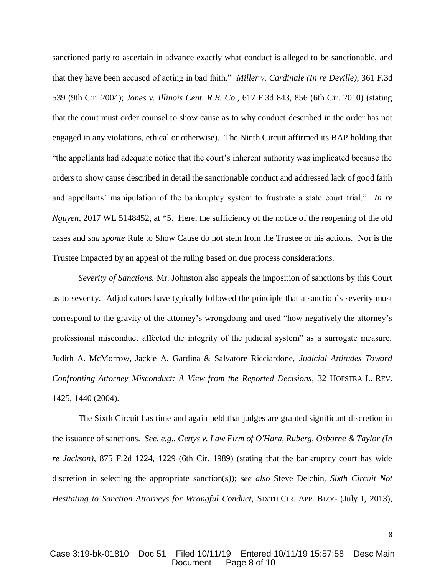sanctioned party to ascertain in advance exactly what conduct is alleged to be sanctionable, and that they have been accused of acting in bad faith." *Miller v. Cardinale (In re Deville)*, 361 F.3d 539 (9th Cir. 2004); *Jones v. Illinois Cent. R.R. Co.*, 617 F.3d 843, 856 (6th Cir. 2010) (stating that the court must order counsel to show cause as to why conduct described in the order has not engaged in any violations, ethical or otherwise). The Ninth Circuit affirmed its BAP holding that "the appellants had adequate notice that the court's inherent authority was implicated because the orders to show cause described in detail the sanctionable conduct and addressed lack of good faith and appellants' manipulation of the bankruptcy system to frustrate a state court trial." *In re Nguyen*, 2017 WL 5148452, at \*5. Here, the sufficiency of the notice of the reopening of the old cases and *sua sponte* Rule to Show Cause do not stem from the Trustee or his actions. Nor is the Trustee impacted by an appeal of the ruling based on due process considerations.

*Severity of Sanctions.* Mr. Johnston also appeals the imposition of sanctions by this Court as to severity. Adjudicators have typically followed the principle that a sanction's severity must correspond to the gravity of the attorney's wrongdoing and used "how negatively the attorney's professional misconduct affected the integrity of the judicial system" as a surrogate measure. Judith A. McMorrow, Jackie A. Gardina & Salvatore Ricciardone, *Judicial Attitudes Toward Confronting Attorney Misconduct: A View from the Reported Decisions*, 32 HOFSTRA L. REV. 1425, 1440 (2004).

The Sixth Circuit has time and again held that judges are granted significant discretion in the issuance of sanctions. *See, e.g*., *Gettys v. Law Firm of O'Hara, Ruberg, Osborne & Taylor (In re Jackson)*, 875 F.2d 1224, 1229 (6th Cir. 1989) (stating that the bankruptcy court has wide discretion in selecting the appropriate sanction(s)); *see also* Steve Delchin, *Sixth Circuit Not Hesitating to Sanction Attorneys for Wrongful Conduct*, SIXTH CIR. APP. BLOG (July 1, 2013),

8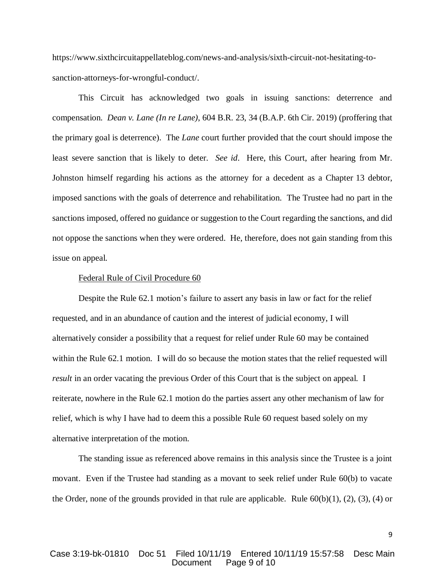https://www.sixthcircuitappellateblog.com/news-and-analysis/sixth-circuit-not-hesitating-tosanction-attorneys-for-wrongful-conduct/.

This Circuit has acknowledged two goals in issuing sanctions: deterrence and compensation. *Dean v. Lane (In re Lane)*, 604 B.R. 23, 34 (B.A.P. 6th Cir. 2019) (proffering that the primary goal is deterrence). The *Lane* court further provided that the court should impose the least severe sanction that is likely to deter. *See id*. Here, this Court, after hearing from Mr. Johnston himself regarding his actions as the attorney for a decedent as a Chapter 13 debtor, imposed sanctions with the goals of deterrence and rehabilitation. The Trustee had no part in the sanctions imposed, offered no guidance or suggestion to the Court regarding the sanctions, and did not oppose the sanctions when they were ordered. He, therefore, does not gain standing from this issue on appeal.

#### Federal Rule of Civil Procedure 60

Despite the Rule 62.1 motion's failure to assert any basis in law or fact for the relief requested, and in an abundance of caution and the interest of judicial economy, I will alternatively consider a possibility that a request for relief under Rule 60 may be contained within the Rule 62.1 motion. I will do so because the motion states that the relief requested will *result* in an order vacating the previous Order of this Court that is the subject on appeal. I reiterate, nowhere in the Rule 62.1 motion do the parties assert any other mechanism of law for relief, which is why I have had to deem this a possible Rule 60 request based solely on my alternative interpretation of the motion.

The standing issue as referenced above remains in this analysis since the Trustee is a joint movant. Even if the Trustee had standing as a movant to seek relief under Rule 60(b) to vacate the Order, none of the grounds provided in that rule are applicable. Rule  $60(b)(1)$ ,  $(2)$ ,  $(3)$ ,  $(4)$  or

### Case 3:19-bk-01810 Doc 51 Filed 10/11/19 Entered 10/11/19 15:57:58 Desc Main Page 9 of 10

9